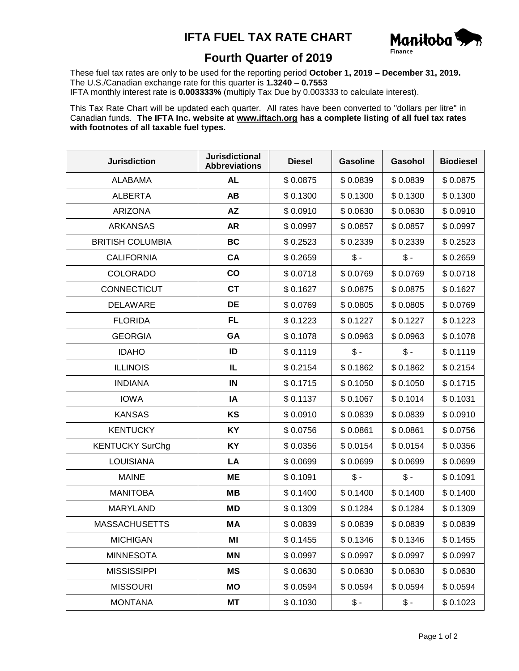## **IFTA FUEL TAX RATE CHART**



## **Fourth Quarter of 2019**

These fuel tax rates are only to be used for the reporting period **October 1, 2019 – December 31, 2019.** The U.S./Canadian exchange rate for this quarter is **1.3240 – 0.7553** IFTA monthly interest rate is **0.003333%** (multiply Tax Due by 0.003333 to calculate interest).

This Tax Rate Chart will be updated each quarter. All rates have been converted to "dollars per litre" in Canadian funds. **The IFTA Inc. website at www.iftach.org has a complete listing of all fuel tax rates with footnotes of all taxable fuel types.**

| <b>Jurisdiction</b>     | <b>Jurisdictional</b><br><b>Abbreviations</b> | <b>Diesel</b> | <b>Gasoline</b> | Gasohol         | <b>Biodiesel</b> |
|-------------------------|-----------------------------------------------|---------------|-----------------|-----------------|------------------|
| <b>ALABAMA</b>          | <b>AL</b>                                     | \$0.0875      | \$0.0839        | \$0.0839        | \$0.0875         |
| <b>ALBERTA</b>          | <b>AB</b>                                     | \$0.1300      | \$0.1300        | \$0.1300        | \$0.1300         |
| <b>ARIZONA</b>          | <b>AZ</b>                                     | \$0.0910      | \$0.0630        | \$0.0630        | \$0.0910         |
| <b>ARKANSAS</b>         | <b>AR</b>                                     | \$0.0997      | \$0.0857        | \$0.0857        | \$0.0997         |
| <b>BRITISH COLUMBIA</b> | <b>BC</b>                                     | \$0.2523      | \$0.2339        | \$0.2339        | \$0.2523         |
| <b>CALIFORNIA</b>       | <b>CA</b>                                     | \$0.2659      | $\frac{2}{3}$ . | $\frac{2}{3}$ - | \$0.2659         |
| <b>COLORADO</b>         | $\mathbf{co}$                                 | \$0.0718      | \$0.0769        | \$0.0769        | \$0.0718         |
| CONNECTICUT             | <b>CT</b>                                     | \$0.1627      | \$0.0875        | \$0.0875        | \$0.1627         |
| <b>DELAWARE</b>         | DE                                            | \$0.0769      | \$0.0805        | \$0.0805        | \$0.0769         |
| <b>FLORIDA</b>          | <b>FL</b>                                     | \$0.1223      | \$0.1227        | \$0.1227        | \$0.1223         |
| <b>GEORGIA</b>          | GA                                            | \$0.1078      | \$0.0963        | \$0.0963        | \$0.1078         |
| <b>IDAHO</b>            | ID                                            | \$0.1119      | $$ -$           | $\frac{2}{3}$ - | \$0.1119         |
| <b>ILLINOIS</b>         | IL                                            | \$0.2154      | \$0.1862        | \$0.1862        | \$0.2154         |
| <b>INDIANA</b>          | IN                                            | \$0.1715      | \$0.1050        | \$0.1050        | \$0.1715         |
| <b>IOWA</b>             | IA                                            | \$0.1137      | \$0.1067        | \$0.1014        | \$0.1031         |
| <b>KANSAS</b>           | KS                                            | \$0.0910      | \$0.0839        | \$0.0839        | \$0.0910         |
| <b>KENTUCKY</b>         | KY                                            | \$0.0756      | \$0.0861        | \$0.0861        | \$0.0756         |
| <b>KENTUCKY SurChg</b>  | KY                                            | \$0.0356      | \$0.0154        | \$0.0154        | \$0.0356         |
| <b>LOUISIANA</b>        | LA                                            | \$0.0699      | \$0.0699        | \$0.0699        | \$0.0699         |
| <b>MAINE</b>            | <b>ME</b>                                     | \$0.1091      | $$ -$           | $\frac{2}{3}$ - | \$0.1091         |
| <b>MANITOBA</b>         | <b>MB</b>                                     | \$0.1400      | \$0.1400        | \$0.1400        | \$0.1400         |
| <b>MARYLAND</b>         | MD                                            | \$0.1309      | \$0.1284        | \$0.1284        | \$0.1309         |
| <b>MASSACHUSETTS</b>    | МA                                            | \$0.0839      | \$0.0839        | \$0.0839        | \$0.0839         |
| <b>MICHIGAN</b>         | ΜI                                            | \$0.1455      | \$0.1346        | \$0.1346        | \$0.1455         |
| <b>MINNESOTA</b>        | ΜN                                            | \$0.0997      | \$0.0997        | \$0.0997        | \$0.0997         |
| <b>MISSISSIPPI</b>      | MS                                            | \$0.0630      | \$0.0630        | \$0.0630        | \$0.0630         |
| <b>MISSOURI</b>         | MO                                            | \$0.0594      | \$0.0594        | \$0.0594        | \$0.0594         |
| <b>MONTANA</b>          | MT                                            | \$0.1030      | \$ -            | \$ -            | \$0.1023         |